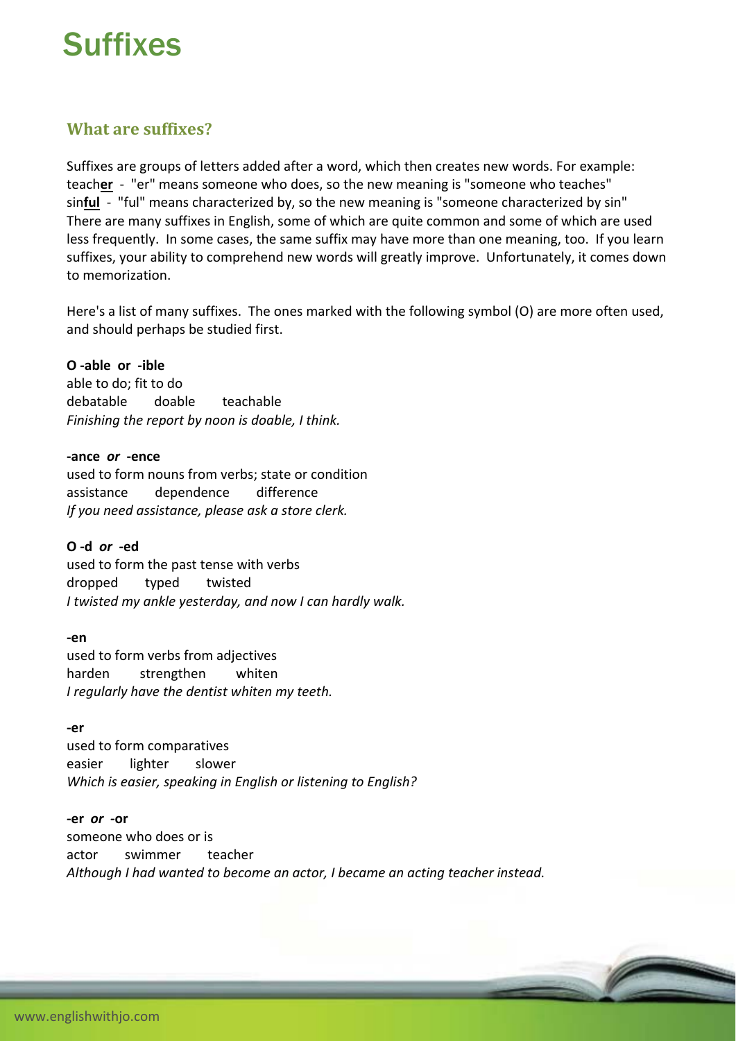# **Suffixes**

# **What are suffixes?**

Suffixes are groups of letters added after a word, which then creates new words. For example: teach**er** ‐ "er" means someone who does, so the new meaning is "someone who teaches" sin**ful** - "ful" means characterized by, so the new meaning is "someone characterized by sin" There are many suffixes in English, some of which are quite common and some of which are used less frequently. In some cases, the same suffix may have more than one meaning, too. If you learn suffixes, your ability to comprehend new words will greatly improve. Unfortunately, it comes down to memorization.

Here's a list of many suffixes. The ones marked with the following symbol (O) are more often used, and should perhaps be studied first.

# **O ‐able or ‐ible**

able to do; fit to do debatable doable teachable *Finishing the report by noon is doable, I think.*

# **‐ance** *or* **‐ence**

used to form nouns from verbs; state or condition assistance dependence difference *If you need assistance, please ask a store clerk.*

# **O ‐d** *or* **‐ed**

used to form the past tense with verbs dropped typed twisted *I twisted my ankle yesterday, and now I can hardly walk.*

# **‐en**

used to form verbs from adjectives harden strengthen whiten *I regularly have the dentist whiten my teeth.*

# **‐er**

used to form comparatives easier lighter slower *Which is easier, speaking in English or listening to English?*

#### **‐er** *or* **‐or**

someone who does or is actor swimmer teacher *Although I had wanted to become an actor, I became an acting teacher instead.*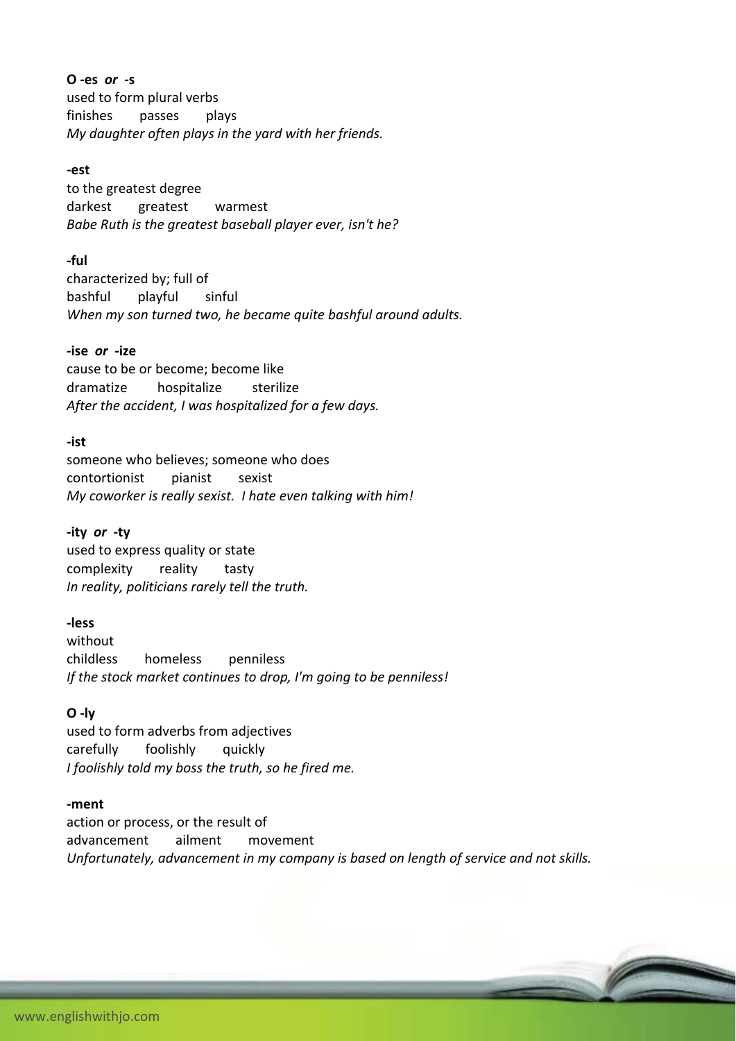**O ‐es** *or* **‐s** used to form plural verbs finishes passes plays *My daughter often plays in the yard with her friends.*

### **‐est**

to the greatest degree darkest greatest warmest *Babe Ruth is the greatest baseball player ever, isn't he?*

#### **‐ful**

characterized by; full of bashful playful sinful *When my son turned two, he became quite bashful around adults.*

#### **‐ise** *or*  **‐ize**

cause to be or become; become like dramatize hospitalize sterilize *After the accident, I was hospitalized for a few days.*

#### **‐ist**

someone who believes; someone who does contortionist pianist sexist *My coworker is really sexist. I hate even talking with him!*

#### **‐ity** *or* **‐ty**

used to express quality or state complexity reality tasty *In reality, politicians rarely tell the truth.*

#### **‐less**

without childless homeless penniless *If the stock market continues to drop, I'm going to be penniless!*

#### **O ‐ly**

used to form adverbs from adjectives carefully foolishly quickly *I foolishly told my boss the truth, so he fired me.*

### **‐ment**

action or process, or the result of advancement ailment movement *Unfortunately, advancement in my company is based on length of service and not skills.*